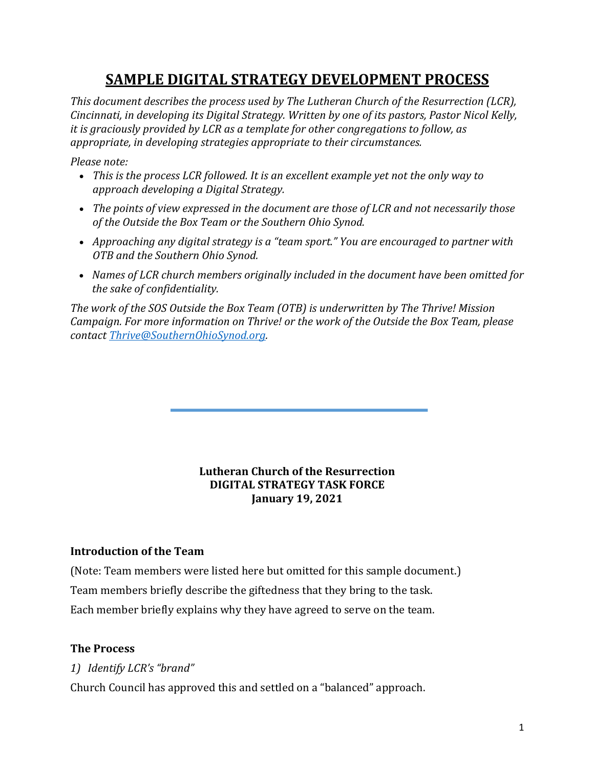# **SAMPLE DIGITAL STRATEGY DEVELOPMENT PROCESS**

*This document describes the process used by The Lutheran Church of the Resurrection (LCR), Cincinnati, in developing its Digital Strategy. Written by one of its pastors, Pastor Nicol Kelly, it is graciously provided by LCR as a template for other congregations to follow, as* appropriate, in developing strategies appropriate to their circumstances.

*Please note:*

- This is the process LCR followed. It is an excellent example yet not the only way to *approach developing a Digital Strategy.*
- The points of view expressed in the document are those of LCR and not necessarily those of the Outside the Box Team or the Southern Ohio Synod.
- Approaching any digital strategy is a "team sport." You are encouraged to partner with *OTB and the Southern Ohio Synod.*
- Names of LCR church members originally included in the document have been omitted for *the sake of confidentiality.*

The work of the SOS Outside the Box Team (OTB) is underwritten by The Thrive! Mission *Campaign.* For more information on Thrive! or the work of the Outside the Box Team, please *contact Thrive@SouthernOhioSynod.org.*

#### **Lutheran Church of the Resurrection DIGITAL STRATEGY TASK FORCE January 19, 2021**

#### **Introduction of the Team**

(Note: Team members were listed here but omitted for this sample document.) Team members briefly describe the giftedness that they bring to the task. Each member briefly explains why they have agreed to serve on the team.

## **The Process**

*1) Identify LCR's "brand"*

Church Council has approved this and settled on a "balanced" approach.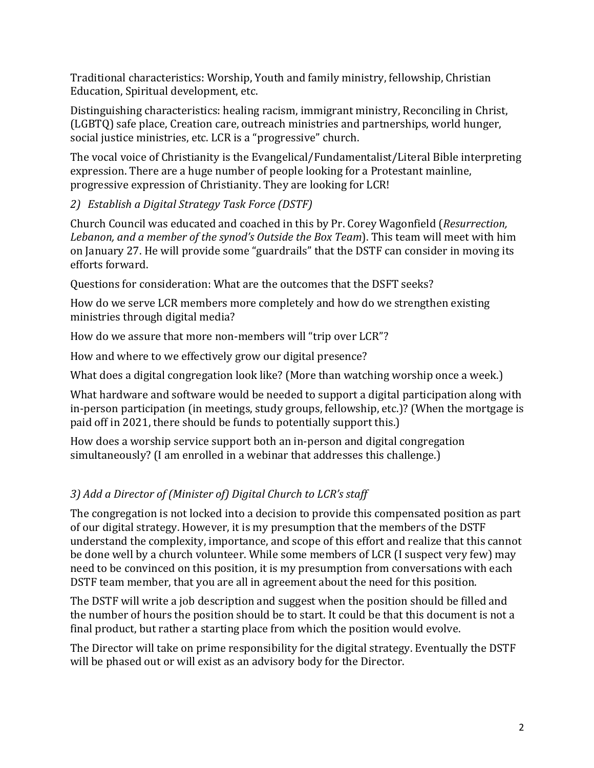Traditional characteristics: Worship, Youth and family ministry, fellowship, Christian Education, Spiritual development, etc.

Distinguishing characteristics: healing racism, immigrant ministry, Reconciling in Christ, (LGBTQ) safe place, Creation care, outreach ministries and partnerships, world hunger, social justice ministries, etc. LCR is a "progressive" church.

The vocal voice of Christianity is the Evangelical/Fundamentalist/Literal Bible interpreting expression. There are a huge number of people looking for a Protestant mainline, progressive expression of Christianity. They are looking for LCR!

# *2) Establish a Digital Strategy Task Force (DSTF)*

Church Council was educated and coached in this by Pr. Corey Wagonfield (*Resurrection*, Lebanon, and a member of the synod's Outside the Box Team). This team will meet with him on January 27. He will provide some "guardrails" that the DSTF can consider in moving its efforts forward.

Questions for consideration: What are the outcomes that the DSFT seeks?

How do we serve LCR members more completely and how do we strengthen existing ministries through digital media?

How do we assure that more non-members will "trip over LCR"?

How and where to we effectively grow our digital presence?

What does a digital congregation look like? (More than watching worship once a week.)

What hardware and software would be needed to support a digital participation along with in-person participation (in meetings, study groups, fellowship, etc.)? (When the mortgage is paid off in 2021, there should be funds to potentially support this.)

How does a worship service support both an in-person and digital congregation simultaneously? (I am enrolled in a webinar that addresses this challenge.)

# *3)* Add a Director of (Minister of) Digital Church to LCR's staff

The congregation is not locked into a decision to provide this compensated position as part of our digital strategy. However, it is my presumption that the members of the DSTF understand the complexity, importance, and scope of this effort and realize that this cannot be done well by a church volunteer. While some members of LCR (I suspect very few) may need to be convinced on this position, it is my presumption from conversations with each DSTF team member, that you are all in agreement about the need for this position.

The DSTF will write a job description and suggest when the position should be filled and the number of hours the position should be to start. It could be that this document is not a final product, but rather a starting place from which the position would evolve.

The Director will take on prime responsibility for the digital strategy. Eventually the DSTF will be phased out or will exist as an advisory body for the Director.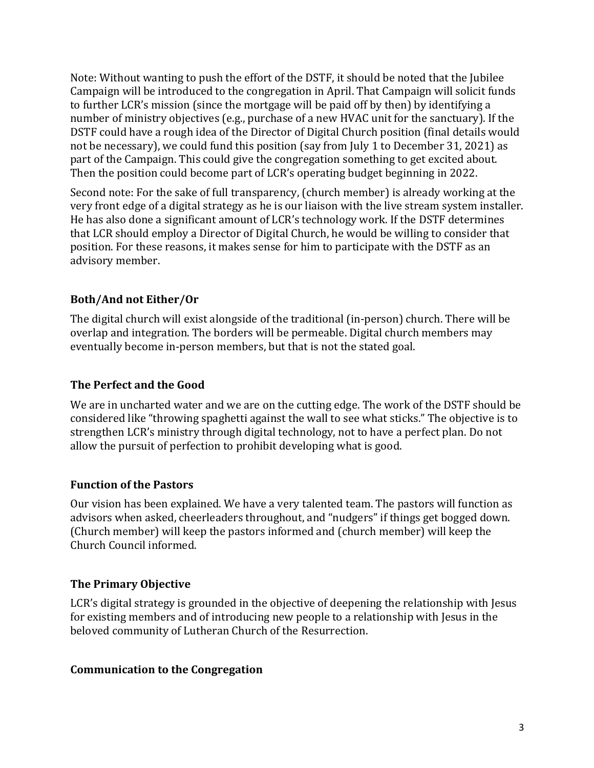Note: Without wanting to push the effort of the DSTF, it should be noted that the Jubilee Campaign will be introduced to the congregation in April. That Campaign will solicit funds to further LCR's mission (since the mortgage will be paid off by then) by identifying a number of ministry objectives (e.g., purchase of a new HVAC unit for the sanctuary). If the DSTF could have a rough idea of the Director of Digital Church position (final details would not be necessary), we could fund this position (say from July 1 to December 31, 2021) as part of the Campaign. This could give the congregation something to get excited about. Then the position could become part of LCR's operating budget beginning in 2022.

Second note: For the sake of full transparency, (church member) is already working at the very front edge of a digital strategy as he is our liaison with the live stream system installer. He has also done a significant amount of LCR's technology work. If the DSTF determines that LCR should employ a Director of Digital Church, he would be willing to consider that position. For these reasons, it makes sense for him to participate with the DSTF as an advisory member.

# **Both/And not Either/Or**

The digital church will exist alongside of the traditional (in-person) church. There will be overlap and integration. The borders will be permeable. Digital church members may eventually become in-person members, but that is not the stated goal.

## **The Perfect and the Good**

We are in uncharted water and we are on the cutting edge. The work of the DSTF should be considered like "throwing spaghetti against the wall to see what sticks." The objective is to strengthen LCR's ministry through digital technology, not to have a perfect plan. Do not allow the pursuit of perfection to prohibit developing what is good.

## **Function of the Pastors**

Our vision has been explained. We have a very talented team. The pastors will function as advisors when asked, cheerleaders throughout, and "nudgers" if things get bogged down. (Church member) will keep the pastors informed and (church member) will keep the Church Council informed.

# **The Primary Objective**

LCR's digital strategy is grounded in the objective of deepening the relationship with Jesus for existing members and of introducing new people to a relationship with Jesus in the beloved community of Lutheran Church of the Resurrection.

## **Communication to the Congregation**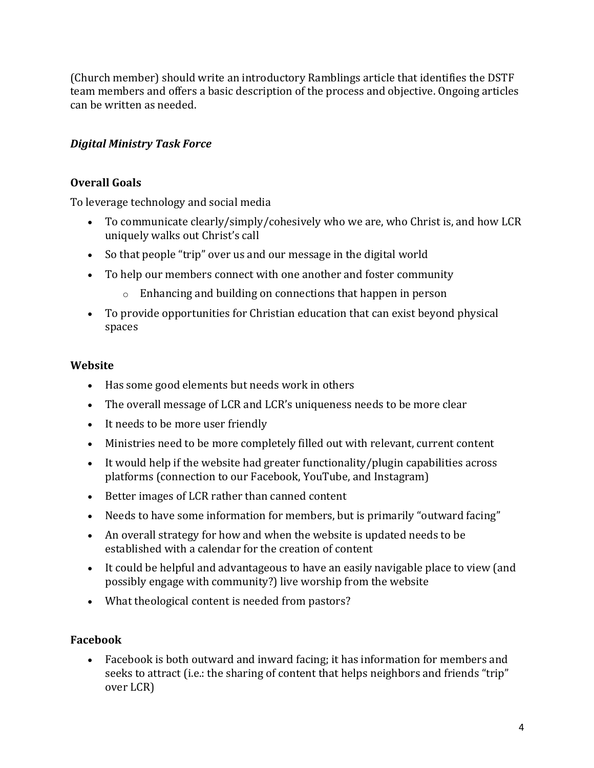(Church member) should write an introductory Ramblings article that identifies the DSTF team members and offers a basic description of the process and objective. Ongoing articles can be written as needed.

## *Digital Ministry Task Force*

## **Overall Goals**

To leverage technology and social media

- To communicate clearly/simply/cohesively who we are, who Christ is, and how LCR uniquely walks out Christ's call
- So that people "trip" over us and our message in the digital world
- To help our members connect with one another and foster community
	- $\circ$  Enhancing and building on connections that happen in person
- To provide opportunities for Christian education that can exist beyond physical spaces

#### **Website**

- Has some good elements but needs work in others
- The overall message of LCR and LCR's uniqueness needs to be more clear
- It needs to be more user friendly
- Ministries need to be more completely filled out with relevant, current content
- It would help if the website had greater functionality/plugin capabilities across platforms (connection to our Facebook, YouTube, and Instagram)
- Better images of LCR rather than canned content
- Needs to have some information for members, but is primarily "outward facing"
- An overall strategy for how and when the website is updated needs to be established with a calendar for the creation of content
- It could be helpful and advantageous to have an easily navigable place to view (and possibly engage with community?) live worship from the website
- What theological content is needed from pastors?

#### **Facebook**

• Facebook is both outward and inward facing; it has information for members and seeks to attract (i.e.: the sharing of content that helps neighbors and friends "trip" over LCR)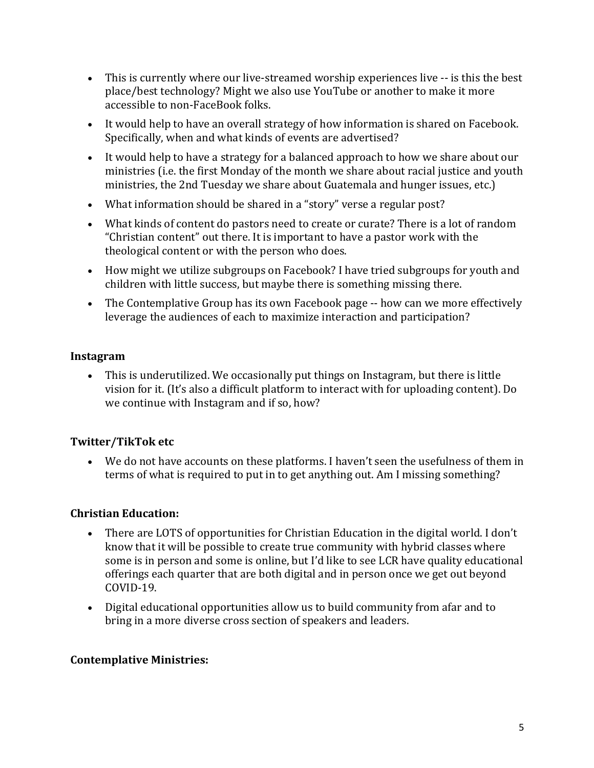- This is currently where our live-streamed worship experiences live -- is this the best place/best technology? Might we also use YouTube or another to make it more accessible to non-FaceBook folks.
- It would help to have an overall strategy of how information is shared on Facebook. Specifically, when and what kinds of events are advertised?
- It would help to have a strategy for a balanced approach to how we share about our ministries (i.e. the first Monday of the month we share about racial justice and youth ministries, the 2nd Tuesday we share about Guatemala and hunger issues, etc.)
- What information should be shared in a "story" verse a regular post?
- What kinds of content do pastors need to create or curate? There is a lot of random "Christian content" out there. It is important to have a pastor work with the theological content or with the person who does.
- How might we utilize subgroups on Facebook? I have tried subgroups for youth and children with little success, but maybe there is something missing there.
- The Contemplative Group has its own Facebook page -- how can we more effectively leverage the audiences of each to maximize interaction and participation?

#### **Instagram**

• This is underutilized. We occasionally put things on Instagram, but there is little vision for it. (It's also a difficult platform to interact with for uploading content). Do we continue with Instagram and if so, how?

## **Twitter/TikTok etc**

• We do not have accounts on these platforms. I haven't seen the usefulness of them in terms of what is required to put in to get anything out. Am I missing something?

#### **Christian Education:**

- There are LOTS of opportunities for Christian Education in the digital world. I don't know that it will be possible to create true community with hybrid classes where some is in person and some is online, but I'd like to see LCR have quality educational offerings each quarter that are both digital and in person once we get out beyond COVID-19.
- Digital educational opportunities allow us to build community from afar and to bring in a more diverse cross section of speakers and leaders.

#### **Contemplative Ministries:**